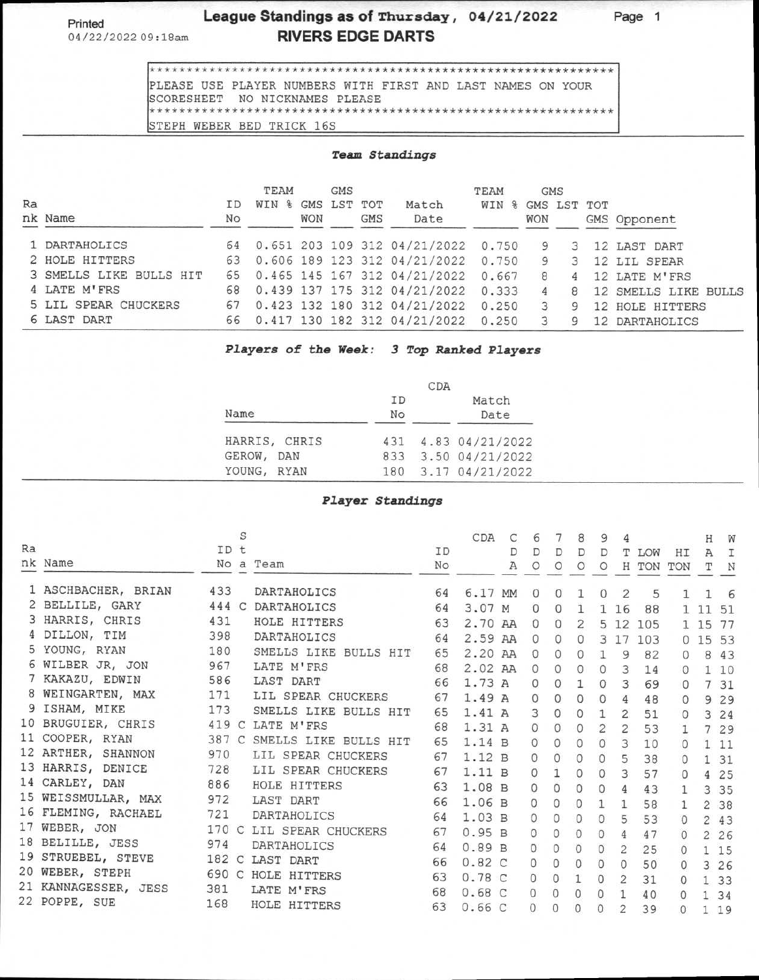Printed

04/22/2022 09:18am

## **League Standings as of Thursday, 04/21/2022 RIVERS EDGE DARTS**

**Page 1** 

\*\*\*\*\*\*\*\*\*\*\*\*\*\*\*\*\*\*\*\*\*\*\*\*\*\*\*\*\*\*\*\*\*\*\*\*\*\*\*\*\*\*\*\*\*\*\*\*\*\*\*\*\*\*\*\*\*\*\*\*\*\* PLEASE USE PLAYER NUMBERS WITH FIRST AND LAST NAMES ON YOUR SCORESHEET NO NICKNAMES PLEASE \*\*\*\*\*\*\*\*\*\*\*\*\*\*\*\*\*\*\*\*\*\*\*\*\*\*\*\*\*\*\*\*\*\*\*\*\*\*\*\*\*\*\*\*\*\*\*\*\*\*\*\*\*\*\*\*\*\*\*\*\*\* STEPH WEBER BED TRICK 16S

## **Team Standings**

|    |                         |    | <b>TEAM</b>          |            | <b>GMS</b>  |            |                                       | TEAM  |               | <b>GMS</b>     |                      |
|----|-------------------------|----|----------------------|------------|-------------|------------|---------------------------------------|-------|---------------|----------------|----------------------|
| Ra |                         | ΙD | $\frac{9}{6}$<br>WIN |            | GMS LST TOT |            | Match                                 | WIN   | % GMS LST TOT |                |                      |
|    | nk Name                 | No |                      | <b>WON</b> |             | <b>GMS</b> | Date                                  |       | <b>WON</b>    |                | GMS Opponent         |
|    | 1 DARTAHOLICS           | 64 |                      |            |             |            | 0.651 203 109 312 04/21/2022 0.750 9  |       |               |                | 3 12 LAST DART       |
|    | 2 HOLE HITTERS          |    |                      |            |             |            | 63 0.606 189 123 312 04/21/2022       | 0.750 | 9             |                | 3 12 LIL SPEAR       |
|    | 3 SMELLS LIKE BULLS HIT |    |                      |            |             |            | 65 0.465 145 167 312 04/21/2022       | 0.667 | 8             | $\overline{4}$ | 12 LATE M'FRS        |
|    | 4 LATE M'FRS            | 68 |                      |            |             |            | 0.439 137 175 312 04/21/2022          | 0.333 | 4             | 8              | 12 SMELLS LIKE BULLS |
|    | 5 LIL SPEAR CHUCKERS    | 67 |                      |            |             |            | 0.423 132 180 312 04/21/2022          | 0.250 | 3             | 9              | 12 HOLE HITTERS      |
|    | 6 LAST DART             |    |                      |            |             |            | 66 0.417 130 182 312 04/21/2022 0.250 |       |               |                | 12 DARTAHOLICS       |

**Players of the Week: 3 Top Ranked Players** 

|               |          | CDA |                     |
|---------------|----------|-----|---------------------|
| Name          | ID<br>No |     | Match<br>Date       |
| HARRIS, CHRIS |          |     | 431 4.83 04/21/2022 |
| GEROW, DAN    |          |     | 833 3.50 04/21/2022 |
| YOUNG, RYAN   |          |     | 180 3.17 04/21/2022 |

## **Player Standings**

|    |                      |       | S |                       |    | CDA     | С | 6        |              | 8                   | 9              | 4              |           |                | Η     | W            |
|----|----------------------|-------|---|-----------------------|----|---------|---|----------|--------------|---------------------|----------------|----------------|-----------|----------------|-------|--------------|
| Ra |                      | ID t  |   |                       | ID |         | D | D        | D            | D                   | D              | т              | LOW       | HI             | A     | I            |
|    | nk Name              |       |   | No a Team             | No |         | Α | $\circ$  | $\circ$      | $\circ$             | $\circ$        |                | H TON TON |                |       | N            |
|    | 1 ASCHBACHER, BRIAN  | 433   |   | DARTAHOLICS           | 64 | 6.17 MM |   | $\Omega$ | $\mathbf{0}$ |                     | $\Omega$       | 2              | 5         | ı.             | 1     | 6            |
|    | 2 BELLILE, GARY      | 444 C |   | DARTAHOLICS           | 64 | 3.07 M  |   | 0        | $\circ$      | $\mathbf{1}$        |                | 1 16           | 88        |                | 1 11  | 51           |
|    | 3 HARRIS, CHRIS      | 431   |   | HOLE HITTERS          | 63 | 2.70 AA |   | $\Omega$ | $\Omega$     | $\overline{2}$      |                | 5 12           | 105       |                | 1 15  | 77           |
|    | DILLON, TIM          | 398   |   | <b>DARTAHOLICS</b>    | 64 | 2.59 AA |   | $\Omega$ | $\Omega$     | 0                   |                | 3 17           | 103       |                | 01553 |              |
|    | 5 YOUNG, RYAN        | 180   |   | SMELLS LIKE BULLS HIT | 65 | 2.20 AA |   | $\Omega$ | $\circ$      | 0                   | 1              | 9              | 82        | $\Omega$       | 8     | 43           |
|    | 6 WILBER JR, JON     | 967   |   | LATE M'FRS            | 68 | 2.02 AA |   | $\circ$  | $\circ$      | $\Omega$            | $\Omega$       | 3              | 14        | $\Omega$       |       | 110          |
|    | 7 KAKAZU, EDWIN      | 586   |   | LAST DART             | 66 | 1.73 A  |   | 0        | $\circ$      | 1                   | $\circ$        | 3              | 69        | $\Omega$       |       | 7 31         |
|    | 8 WEINGARTEN, MAX    | 171   |   | LIL SPEAR CHUCKERS    | 67 | 1.49 A  |   | 0        | 0            | $\mathbf{0}$        | $\Omega$       | 4              | 48        | $\Omega$       |       | 9 2 9        |
|    | 9 ISHAM, MIKE        | 173   |   | SMELLS LIKE BULLS HIT | 65 | 1.41A   |   | 3        | 0            | $\circ$             | $\mathbf{1}$   | $\overline{2}$ | 51        | $\Omega$       |       | 3 24         |
|    | 10 BRUGUIER, CHRIS   |       |   | 419 C LATE M'FRS      | 68 | 1.31 A  |   | $\circ$  | 0            | $\Omega$            | $\overline{2}$ | 2              | 53        | $\mathbf{1}$   |       | 7 29         |
|    | 11 COOPER, RYAN      | 387 C |   | SMELLS LIKE BULLS HIT | 65 | 1.14 B  |   | $\Omega$ | $\Omega$     | $\Omega$            | $\Omega$       | 3              | 10        | $\circ$        |       | 111          |
|    | 12 ARTHER, SHANNON   | 970   |   | LIL SPEAR CHUCKERS    | 67 | 1.12 B  |   | $\Omega$ | $\Omega$     | $\circ$             | $\Omega$       | 5              | 38        | 0              |       | 131          |
|    | 13 HARRIS, DENICE    | 728   |   | LIL SPEAR CHUCKERS    | 67 | 1.11 B  |   | 0        | 1            | $\circ$             | $\mathbf{O}$   | 3              | 57        | $\Omega$       |       | 4 25         |
|    | 14 CARLEY, DAN       | 886   |   | HOLE HITTERS          | 63 | 1.08 B  |   | $\Omega$ | 0            | 0                   | 0              | 4              | 43        | 1              |       | 3 3 5        |
|    | 15 WEISSMULLAR, MAX  | 972   |   | LAST DART             | 66 | 1.06 B  |   | 0        | 0            | 0                   | 1              | $\mathbf{1}$   | 58        | $\mathbf{1}$   |       | 2 38         |
|    | 16 FLEMING, RACHAEL  | 721   |   | DARTAHOLICS           | 64 | 1.03 B  |   | 0        | 0            | 0                   | 0              | 5              | 53        | $\Omega$       |       | 2 43         |
|    | 17 WEBER, JON        | 170 C |   | LIL SPEAR CHUCKERS    | 67 | 0.95B   |   | $\Omega$ | 0            | $\Omega$            | $\Omega$       | 4              | 47        | $\Omega$       |       | 2 2 6        |
|    | 18 BELILLE, JESS     | 974   |   | DARTAHOLICS           | 64 | 0.89B   |   | $\circ$  | $\circ$      | $\Omega$            | 0              | $\overline{2}$ | 25        | $\Omega$       |       |              |
|    | 19 STRUEBEL, STEVE   |       |   | 182 C LAST DART       | 66 | 0.82C   |   | $\Omega$ | $\Omega$     | $\mathbf{0}$        | $\circ$        | $\Omega$       | 50        |                |       | 1 15         |
|    | 20 WEBER, STEPH      |       |   | 690 C HOLE HITTERS    | 63 | 0.78C   |   | $\circ$  | 0            |                     |                | $\overline{2}$ |           | $\overline{0}$ |       | 3 26         |
|    | 21 KANNAGESSER, JESS | 381   |   | LATE M'FRS            | 68 | 0.68C   |   | $\Omega$ | $\circ$      |                     | 0              |                | 31        | $\Omega$       |       | 1 3 3        |
|    | 22 POPPE, SUE        | 168   |   | HOLE HITTERS          | 63 | 0.66C   |   | $\Omega$ | 0            | $\Omega$<br>$\circ$ | 0<br>0         | 1<br>2         | 40<br>39  | $\Omega$<br>0  |       | 1 34<br>1 19 |